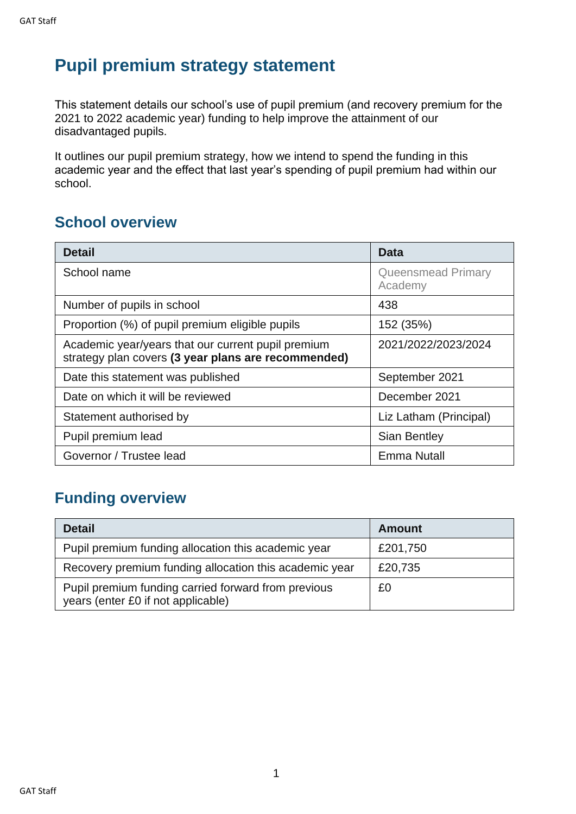## **Pupil premium strategy statement**

This statement details our school's use of pupil premium (and recovery premium for the 2021 to 2022 academic year) funding to help improve the attainment of our disadvantaged pupils.

It outlines our pupil premium strategy, how we intend to spend the funding in this academic year and the effect that last year's spending of pupil premium had within our school.

### **School overview**

| <b>Detail</b>                                                                                             | <b>Data</b>                          |
|-----------------------------------------------------------------------------------------------------------|--------------------------------------|
| School name                                                                                               | <b>Queensmead Primary</b><br>Academy |
| Number of pupils in school                                                                                | 438                                  |
| Proportion (%) of pupil premium eligible pupils                                                           | 152 (35%)                            |
| Academic year/years that our current pupil premium<br>strategy plan covers (3 year plans are recommended) | 2021/2022/2023/2024                  |
| Date this statement was published                                                                         | September 2021                       |
| Date on which it will be reviewed                                                                         | December 2021                        |
| Statement authorised by                                                                                   | Liz Latham (Principal)               |
| Pupil premium lead                                                                                        | Sian Bentley                         |
| Governor / Trustee lead                                                                                   | Emma Nutall                          |

### **Funding overview**

| <b>Detail</b>                                                                             | <b>Amount</b> |
|-------------------------------------------------------------------------------------------|---------------|
| Pupil premium funding allocation this academic year                                       | £201,750      |
| Recovery premium funding allocation this academic year                                    | £20,735       |
| Pupil premium funding carried forward from previous<br>years (enter £0 if not applicable) | £0            |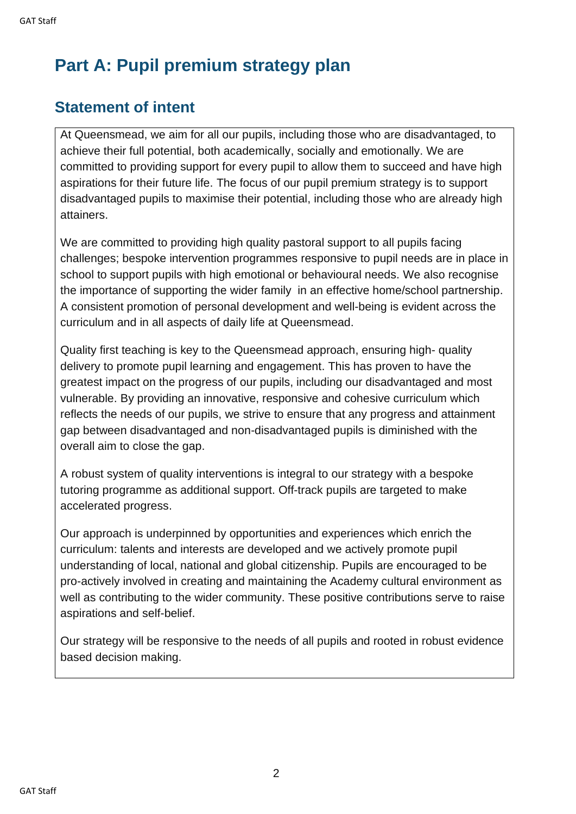# **Part A: Pupil premium strategy plan**

### **Statement of intent**

At Queensmead, we aim for all our pupils, including those who are disadvantaged, to achieve their full potential, both academically, socially and emotionally. We are committed to providing support for every pupil to allow them to succeed and have high aspirations for their future life. The focus of our pupil premium strategy is to support disadvantaged pupils to maximise their potential, including those who are already high attainers.

We are committed to providing high quality pastoral support to all pupils facing challenges; bespoke intervention programmes responsive to pupil needs are in place in school to support pupils with high emotional or behavioural needs. We also recognise the importance of supporting the wider family in an effective home/school partnership. A consistent promotion of personal development and well-being is evident across the curriculum and in all aspects of daily life at Queensmead.

Quality first teaching is key to the Queensmead approach, ensuring high- quality delivery to promote pupil learning and engagement. This has proven to have the greatest impact on the progress of our pupils, including our disadvantaged and most vulnerable. By providing an innovative, responsive and cohesive curriculum which reflects the needs of our pupils, we strive to ensure that any progress and attainment gap between disadvantaged and non-disadvantaged pupils is diminished with the overall aim to close the gap.

A robust system of quality interventions is integral to our strategy with a bespoke tutoring programme as additional support. Off-track pupils are targeted to make accelerated progress.

Our approach is underpinned by opportunities and experiences which enrich the curriculum: talents and interests are developed and we actively promote pupil understanding of local, national and global citizenship. Pupils are encouraged to be pro-actively involved in creating and maintaining the Academy cultural environment as well as contributing to the wider community. These positive contributions serve to raise aspirations and self-belief.

Our strategy will be responsive to the needs of all pupils and rooted in robust evidence based decision making.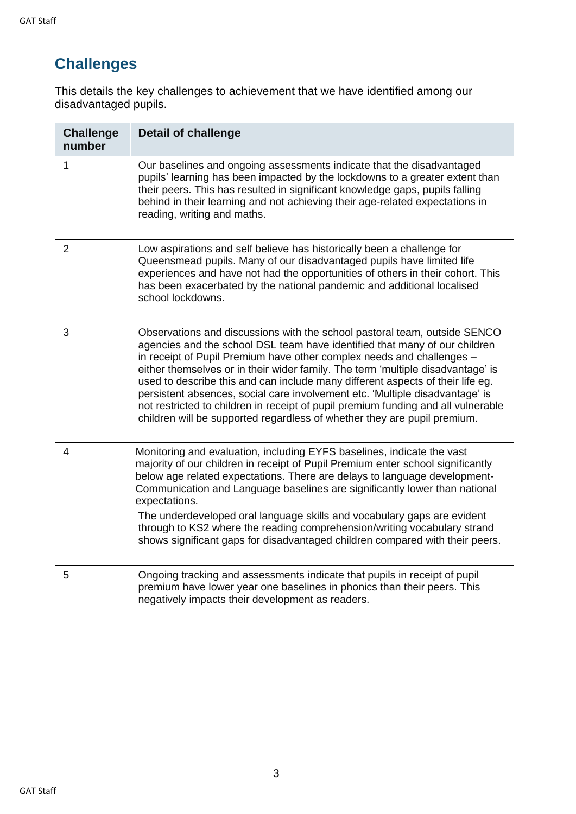## **Challenges**

This details the key challenges to achievement that we have identified among our disadvantaged pupils.

| <b>Challenge</b><br>number | <b>Detail of challenge</b>                                                                                                                                                                                                                                                                                                                                                                                                                                                                                                                                                                                                                             |
|----------------------------|--------------------------------------------------------------------------------------------------------------------------------------------------------------------------------------------------------------------------------------------------------------------------------------------------------------------------------------------------------------------------------------------------------------------------------------------------------------------------------------------------------------------------------------------------------------------------------------------------------------------------------------------------------|
| 1                          | Our baselines and ongoing assessments indicate that the disadvantaged<br>pupils' learning has been impacted by the lockdowns to a greater extent than<br>their peers. This has resulted in significant knowledge gaps, pupils falling<br>behind in their learning and not achieving their age-related expectations in<br>reading, writing and maths.                                                                                                                                                                                                                                                                                                   |
| $\overline{2}$             | Low aspirations and self believe has historically been a challenge for<br>Queensmead pupils. Many of our disadvantaged pupils have limited life<br>experiences and have not had the opportunities of others in their cohort. This<br>has been exacerbated by the national pandemic and additional localised<br>school lockdowns.                                                                                                                                                                                                                                                                                                                       |
| 3                          | Observations and discussions with the school pastoral team, outside SENCO<br>agencies and the school DSL team have identified that many of our children<br>in receipt of Pupil Premium have other complex needs and challenges -<br>either themselves or in their wider family. The term 'multiple disadvantage' is<br>used to describe this and can include many different aspects of their life eg.<br>persistent absences, social care involvement etc. 'Multiple disadvantage' is<br>not restricted to children in receipt of pupil premium funding and all vulnerable<br>children will be supported regardless of whether they are pupil premium. |
| 4                          | Monitoring and evaluation, including EYFS baselines, indicate the vast<br>majority of our children in receipt of Pupil Premium enter school significantly<br>below age related expectations. There are delays to language development-<br>Communication and Language baselines are significantly lower than national<br>expectations.<br>The underdeveloped oral language skills and vocabulary gaps are evident<br>through to KS2 where the reading comprehension/writing vocabulary strand<br>shows significant gaps for disadvantaged children compared with their peers.                                                                           |
| 5                          | Ongoing tracking and assessments indicate that pupils in receipt of pupil<br>premium have lower year one baselines in phonics than their peers. This<br>negatively impacts their development as readers.                                                                                                                                                                                                                                                                                                                                                                                                                                               |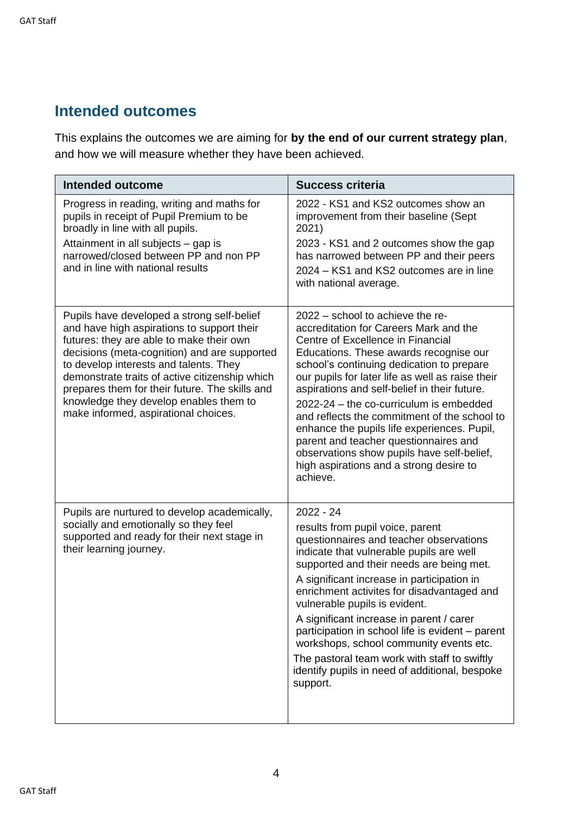### **Intended outcomes**

This explains the outcomes we are aiming for **by the end of our current strategy plan**, and how we will measure whether they have been achieved.

| <b>Intended outcome</b>                                                                                                                                                                                                                                                                                                                                                                                              | <b>Success criteria</b>                                                                                                                                                                                                                                                                                                                                                                                                                                                                                                                                                                            |
|----------------------------------------------------------------------------------------------------------------------------------------------------------------------------------------------------------------------------------------------------------------------------------------------------------------------------------------------------------------------------------------------------------------------|----------------------------------------------------------------------------------------------------------------------------------------------------------------------------------------------------------------------------------------------------------------------------------------------------------------------------------------------------------------------------------------------------------------------------------------------------------------------------------------------------------------------------------------------------------------------------------------------------|
| Progress in reading, writing and maths for<br>pupils in receipt of Pupil Premium to be<br>broadly in line with all pupils.<br>Attainment in all subjects - gap is<br>narrowed/closed between PP and non PP<br>and in line with national results                                                                                                                                                                      | 2022 - KS1 and KS2 outcomes show an<br>improvement from their baseline (Sept<br>2021)<br>2023 - KS1 and 2 outcomes show the gap<br>has narrowed between PP and their peers<br>2024 – KS1 and KS2 outcomes are in line<br>with national average.                                                                                                                                                                                                                                                                                                                                                    |
| Pupils have developed a strong self-belief<br>and have high aspirations to support their<br>futures: they are able to make their own<br>decisions (meta-cognition) and are supported<br>to develop interests and talents. They<br>demonstrate traits of active citizenship which<br>prepares them for their future. The skills and<br>knowledge they develop enables them to<br>make informed, aspirational choices. | 2022 - school to achieve the re-<br>accreditation for Careers Mark and the<br>Centre of Excellence in Financial<br>Educations. These awards recognise our<br>school's continuing dedication to prepare<br>our pupils for later life as well as raise their<br>aspirations and self-belief in their future.<br>2022-24 - the co-curriculum is embedded<br>and reflects the commitment of the school to<br>enhance the pupils life experiences. Pupil,<br>parent and teacher questionnaires and<br>observations show pupils have self-belief,<br>high aspirations and a strong desire to<br>achieve. |
| Pupils are nurtured to develop academically,<br>socially and emotionally so they feel<br>supported and ready for their next stage in<br>their learning journey.                                                                                                                                                                                                                                                      | $2022 - 24$<br>results from pupil voice, parent<br>questionnaires and teacher observations<br>indicate that vulnerable pupils are well<br>supported and their needs are being met.<br>A significant increase in participation in<br>enrichment activites for disadvantaged and<br>vulnerable pupils is evident.<br>A significant increase in parent / carer<br>participation in school life is evident - parent<br>workshops, school community events etc.<br>The pastoral team work with staff to swiftly<br>identify pupils in need of additional, bespoke<br>support.                           |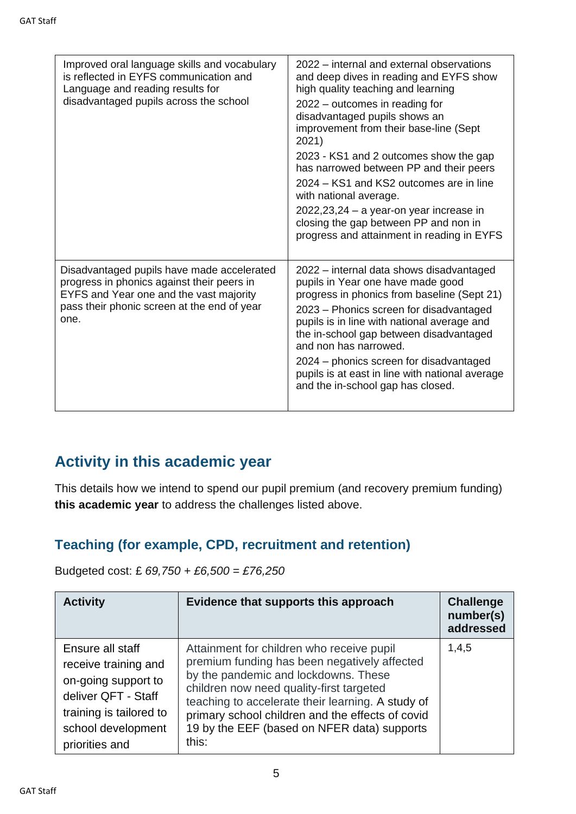| Improved oral language skills and vocabulary<br>is reflected in EYFS communication and<br>Language and reading results for<br>disadvantaged pupils across the school                       | 2022 – internal and external observations<br>and deep dives in reading and EYFS show<br>high quality teaching and learning<br>2022 – outcomes in reading for<br>disadvantaged pupils shows an<br>improvement from their base-line (Sept<br>2021)<br>2023 - KS1 and 2 outcomes show the gap<br>has narrowed between PP and their peers<br>2024 – KS1 and KS2 outcomes are in line<br>with national average.<br>$2022,23,24 - a$ year-on year increase in<br>closing the gap between PP and non in<br>progress and attainment in reading in EYFS |
|--------------------------------------------------------------------------------------------------------------------------------------------------------------------------------------------|------------------------------------------------------------------------------------------------------------------------------------------------------------------------------------------------------------------------------------------------------------------------------------------------------------------------------------------------------------------------------------------------------------------------------------------------------------------------------------------------------------------------------------------------|
| Disadvantaged pupils have made accelerated<br>progress in phonics against their peers in<br>EYFS and Year one and the vast majority<br>pass their phonic screen at the end of year<br>one. | 2022 – internal data shows disadvantaged<br>pupils in Year one have made good<br>progress in phonics from baseline (Sept 21)<br>2023 – Phonics screen for disadvantaged<br>pupils is in line with national average and<br>the in-school gap between disadvantaged<br>and non has narrowed.<br>2024 – phonics screen for disadvantaged<br>pupils is at east in line with national average<br>and the in-school gap has closed.                                                                                                                  |

## **Activity in this academic year**

This details how we intend to spend our pupil premium (and recovery premium funding) **this academic year** to address the challenges listed above.

### **Teaching (for example, CPD, recruitment and retention)**

Budgeted cost: £ *69,750 + £6,500 = £76,250*

| <b>Activity</b>                                                                                                                                           | Evidence that supports this approach                                                                                                                                                                                                                                                                                                           | <b>Challenge</b><br>number(s)<br>addressed |
|-----------------------------------------------------------------------------------------------------------------------------------------------------------|------------------------------------------------------------------------------------------------------------------------------------------------------------------------------------------------------------------------------------------------------------------------------------------------------------------------------------------------|--------------------------------------------|
| Ensure all staff<br>receive training and<br>on-going support to<br>deliver QFT - Staff<br>training is tailored to<br>school development<br>priorities and | Attainment for children who receive pupil<br>premium funding has been negatively affected<br>by the pandemic and lockdowns. These<br>children now need quality-first targeted<br>teaching to accelerate their learning. A study of<br>primary school children and the effects of covid<br>19 by the EEF (based on NFER data) supports<br>this: | 1,4,5                                      |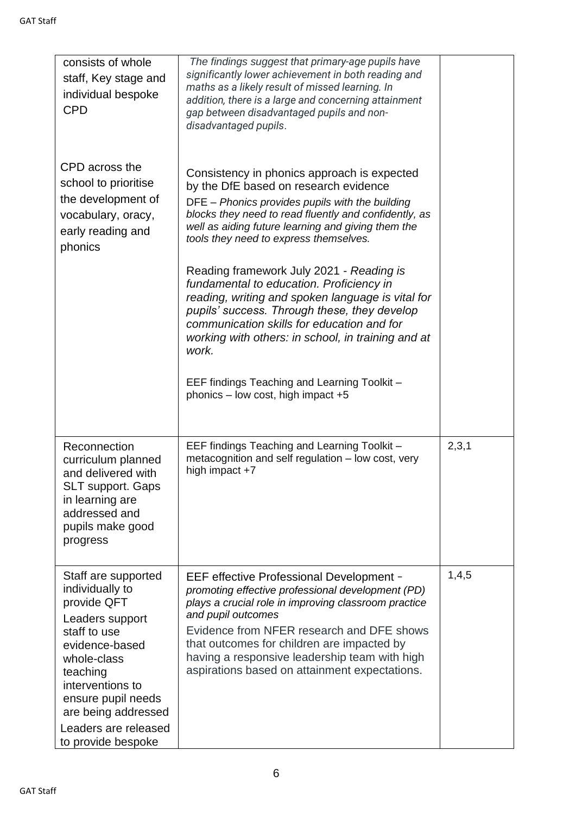| consists of whole<br>staff, Key stage and<br>individual bespoke<br><b>CPD</b>                                                                                                                                                                        | The findings suggest that primary-age pupils have<br>significantly lower achievement in both reading and<br>maths as a likely result of missed learning. In<br>addition, there is a large and concerning attainment<br>gap between disadvantaged pupils and non-<br>disadvantaged pupils.                                                                                |       |
|------------------------------------------------------------------------------------------------------------------------------------------------------------------------------------------------------------------------------------------------------|--------------------------------------------------------------------------------------------------------------------------------------------------------------------------------------------------------------------------------------------------------------------------------------------------------------------------------------------------------------------------|-------|
| CPD across the<br>school to prioritise<br>the development of<br>vocabulary, oracy,<br>early reading and<br>phonics                                                                                                                                   | Consistency in phonics approach is expected<br>by the DfE based on research evidence<br>DFE - Phonics provides pupils with the building<br>blocks they need to read fluently and confidently, as<br>well as aiding future learning and giving them the<br>tools they need to express themselves.                                                                         |       |
|                                                                                                                                                                                                                                                      | Reading framework July 2021 - Reading is<br>fundamental to education. Proficiency in<br>reading, writing and spoken language is vital for<br>pupils' success. Through these, they develop<br>communication skills for education and for<br>working with others: in school, in training and at<br>work.                                                                   |       |
|                                                                                                                                                                                                                                                      | EEF findings Teaching and Learning Toolkit -<br>phonics $-$ low cost, high impact $+5$                                                                                                                                                                                                                                                                                   |       |
| Reconnection<br>curriculum planned<br>and delivered with<br>SLT support. Gaps<br>in learning are<br>addressed and<br>pupils make good<br>progress                                                                                                    | EEF findings Teaching and Learning Toolkit -<br>metacognition and self regulation - low cost, very<br>high impact +7                                                                                                                                                                                                                                                     | 2,3,1 |
| Staff are supported<br>individually to<br>provide QFT<br>Leaders support<br>staff to use<br>evidence-based<br>whole-class<br>teaching<br>interventions to<br>ensure pupil needs<br>are being addressed<br>Leaders are released<br>to provide bespoke | EEF effective Professional Development -<br>promoting effective professional development (PD)<br>plays a crucial role in improving classroom practice<br>and pupil outcomes<br>Evidence from NFER research and DFE shows<br>that outcomes for children are impacted by<br>having a responsive leadership team with high<br>aspirations based on attainment expectations. | 1,4,5 |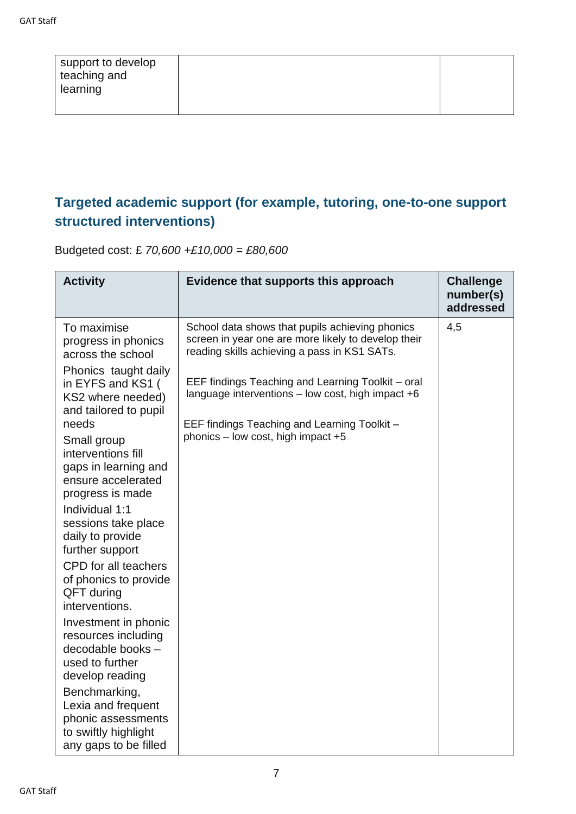| support to develop<br>teaching and<br>learning |  |
|------------------------------------------------|--|
|                                                |  |

### **Targeted academic support (for example, tutoring, one-to-one support structured interventions)**

Budgeted cost: £ *70,600 +£10,000 = £80,600*

| <b>Activity</b>                                                                                                                                                                                                                                                                                                                                    | Evidence that supports this approach                                                                                                                                                                                                                                                                                                                       | <b>Challenge</b><br>number(s)<br>addressed |
|----------------------------------------------------------------------------------------------------------------------------------------------------------------------------------------------------------------------------------------------------------------------------------------------------------------------------------------------------|------------------------------------------------------------------------------------------------------------------------------------------------------------------------------------------------------------------------------------------------------------------------------------------------------------------------------------------------------------|--------------------------------------------|
| To maximise<br>progress in phonics<br>across the school<br>Phonics taught daily<br>in EYFS and KS1 (<br>KS2 where needed)<br>and tailored to pupil<br>needs<br>Small group<br>interventions fill<br>gaps in learning and<br>ensure accelerated<br>progress is made<br>Individual 1:1<br>sessions take place<br>daily to provide<br>further support | School data shows that pupils achieving phonics<br>screen in year one are more likely to develop their<br>reading skills achieving a pass in KS1 SATs.<br>EEF findings Teaching and Learning Toolkit - oral<br>language interventions $-$ low cost, high impact $+6$<br>EEF findings Teaching and Learning Toolkit -<br>phonics - low cost, high impact +5 | 4,5                                        |
| CPD for all teachers<br>of phonics to provide<br>QFT during<br>interventions.                                                                                                                                                                                                                                                                      |                                                                                                                                                                                                                                                                                                                                                            |                                            |
| Investment in phonic<br>resources including<br>decodable books -<br>used to further<br>develop reading                                                                                                                                                                                                                                             |                                                                                                                                                                                                                                                                                                                                                            |                                            |
| Benchmarking,<br>Lexia and frequent<br>phonic assessments<br>to swiftly highlight<br>any gaps to be filled                                                                                                                                                                                                                                         |                                                                                                                                                                                                                                                                                                                                                            |                                            |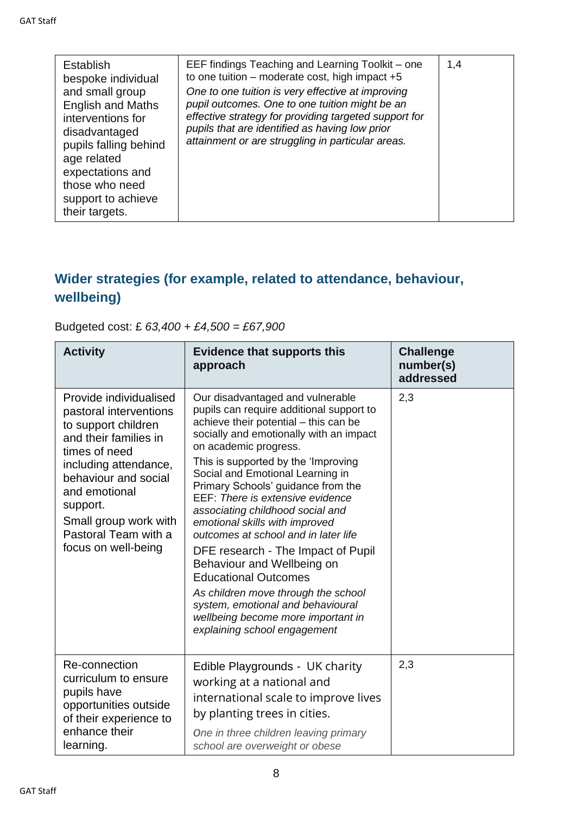| <b>Establish</b><br>bespoke individual<br>and small group                                                                                                                            | EEF findings Teaching and Learning Toolkit – one<br>to one tuition – moderate cost, high impact $+5$                                                                                                                                                                | 1,4 |
|--------------------------------------------------------------------------------------------------------------------------------------------------------------------------------------|---------------------------------------------------------------------------------------------------------------------------------------------------------------------------------------------------------------------------------------------------------------------|-----|
| <b>English and Maths</b><br>interventions for<br>disadvantaged<br>pupils falling behind<br>age related<br>expectations and<br>those who need<br>support to achieve<br>their targets. | One to one tuition is very effective at improving<br>pupil outcomes. One to one tuition might be an<br>effective strategy for providing targeted support for<br>pupils that are identified as having low prior<br>attainment or are struggling in particular areas. |     |

### **Wider strategies (for example, related to attendance, behaviour, wellbeing)**

### Budgeted cost: £ *63,400 + £4,500 = £67,900*

| <b>Activity</b>                                                                                                                                                                                                                                                         | <b>Evidence that supports this</b><br>approach                                                                                                                                                                                                                                                                                                                                                                                                                                                                                                                                                                                                                                                                    | <b>Challenge</b><br>number(s)<br>addressed |
|-------------------------------------------------------------------------------------------------------------------------------------------------------------------------------------------------------------------------------------------------------------------------|-------------------------------------------------------------------------------------------------------------------------------------------------------------------------------------------------------------------------------------------------------------------------------------------------------------------------------------------------------------------------------------------------------------------------------------------------------------------------------------------------------------------------------------------------------------------------------------------------------------------------------------------------------------------------------------------------------------------|--------------------------------------------|
| Provide individualised<br>pastoral interventions<br>to support children<br>and their families in<br>times of need<br>including attendance,<br>behaviour and social<br>and emotional<br>support.<br>Small group work with<br>Pastoral Team with a<br>focus on well-being | Our disadvantaged and vulnerable<br>pupils can require additional support to<br>achieve their potential - this can be<br>socially and emotionally with an impact<br>on academic progress.<br>This is supported by the 'Improving<br>Social and Emotional Learning in<br>Primary Schools' guidance from the<br>EEF: There is extensive evidence<br>associating childhood social and<br>emotional skills with improved<br>outcomes at school and in later life<br>DFE research - The Impact of Pupil<br>Behaviour and Wellbeing on<br><b>Educational Outcomes</b><br>As children move through the school<br>system, emotional and behavioural<br>wellbeing become more important in<br>explaining school engagement | 2,3                                        |
| Re-connection<br>curriculum to ensure<br>pupils have<br>opportunities outside<br>of their experience to<br>enhance their<br>learning.                                                                                                                                   | Edible Playgrounds - UK charity<br>working at a national and<br>international scale to improve lives<br>by planting trees in cities.<br>One in three children leaving primary<br>school are overweight or obese                                                                                                                                                                                                                                                                                                                                                                                                                                                                                                   | 2,3                                        |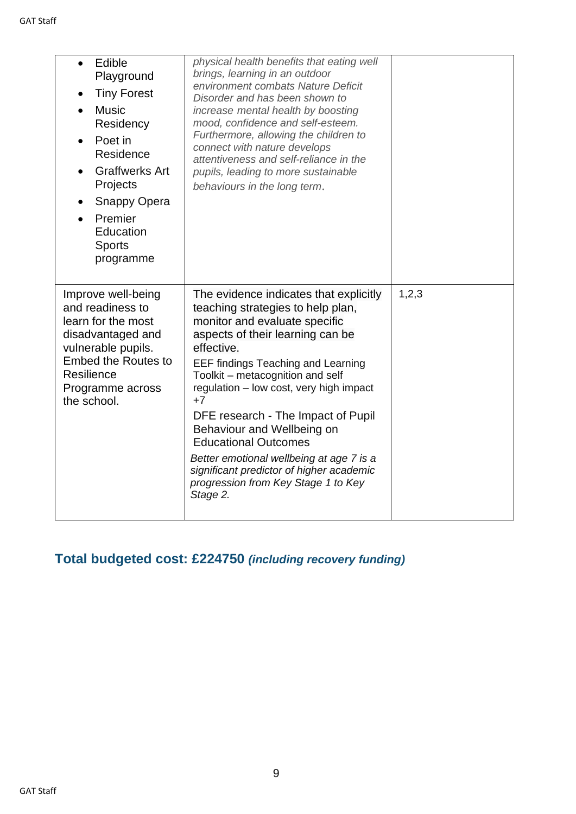| Edible<br>$\bullet$<br>Playground<br><b>Tiny Forest</b><br><b>Music</b><br>Residency<br>Poet in<br>$\bullet$<br>Residence<br><b>Graffwerks Art</b><br>Projects<br><b>Snappy Opera</b><br>Premier<br>Education<br><b>Sports</b><br>programme | physical health benefits that eating well<br>brings, learning in an outdoor<br>environment combats Nature Deficit<br>Disorder and has been shown to<br>increase mental health by boosting<br>mood, confidence and self-esteem.<br>Furthermore, allowing the children to<br>connect with nature develops<br>attentiveness and self-reliance in the<br>pupils, leading to more sustainable<br>behaviours in the long term.                                                                                                                         |       |
|---------------------------------------------------------------------------------------------------------------------------------------------------------------------------------------------------------------------------------------------|--------------------------------------------------------------------------------------------------------------------------------------------------------------------------------------------------------------------------------------------------------------------------------------------------------------------------------------------------------------------------------------------------------------------------------------------------------------------------------------------------------------------------------------------------|-------|
| Improve well-being<br>and readiness to<br>learn for the most<br>disadvantaged and<br>vulnerable pupils.<br><b>Embed the Routes to</b><br>Resilience<br>Programme across<br>the school.                                                      | The evidence indicates that explicitly<br>teaching strategies to help plan,<br>monitor and evaluate specific<br>aspects of their learning can be<br>effective.<br><b>EEF findings Teaching and Learning</b><br>Toolkit - metacognition and self<br>regulation - low cost, very high impact<br>$+7$<br>DFE research - The Impact of Pupil<br>Behaviour and Wellbeing on<br><b>Educational Outcomes</b><br>Better emotional wellbeing at age 7 is a<br>significant predictor of higher academic<br>progression from Key Stage 1 to Key<br>Stage 2. | 1,2,3 |

## **Total budgeted cost: £224750** *(including recovery funding)*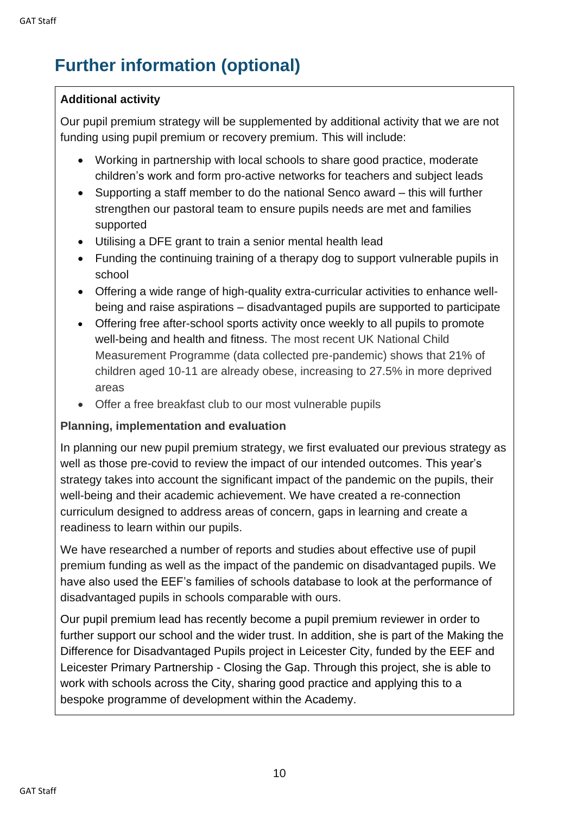# **Further information (optional)**

#### **Additional activity**

Our pupil premium strategy will be supplemented by additional activity that we are not funding using pupil premium or recovery premium. This will include:

- Working in partnership with local schools to share good practice, moderate children's work and form pro-active networks for teachers and subject leads
- Supporting a staff member to do the national Senco award this will further strengthen our pastoral team to ensure pupils needs are met and families supported
- Utilising a DFE grant to train a senior mental health lead
- Funding the continuing training of a therapy dog to support vulnerable pupils in school
- Offering a wide range of high-quality extra-curricular activities to enhance wellbeing and raise aspirations – disadvantaged pupils are supported to participate
- Offering free after-school sports activity once weekly to all pupils to promote well-being and health and fitness. The most recent UK National Child Measurement Programme (data collected pre-pandemic) shows that 21% of children aged 10-11 are already obese, increasing to 27.5% in more deprived areas
- Offer a free breakfast club to our most vulnerable pupils

#### **Planning, implementation and evaluation**

In planning our new pupil premium strategy, we first evaluated our previous strategy as well as those pre-covid to review the impact of our intended outcomes. This year's strategy takes into account the significant impact of the pandemic on the pupils, their well-being and their academic achievement. We have created a re-connection curriculum designed to address areas of concern, gaps in learning and create a readiness to learn within our pupils.

We have researched a number of reports and studies about effective use of pupil premium funding as well as the impact of the pandemic on disadvantaged pupils. We have also used the EEF's families of schools database to look at the performance of disadvantaged pupils in schools comparable with ours.

Our pupil premium lead has recently become a pupil premium reviewer in order to further support our school and the wider trust. In addition, she is part of the Making the Difference for Disadvantaged Pupils project in Leicester City, funded by the EEF and Leicester Primary Partnership - Closing the Gap. Through this project, she is able to work with schools across the City, sharing good practice and applying this to a bespoke programme of development within the Academy.